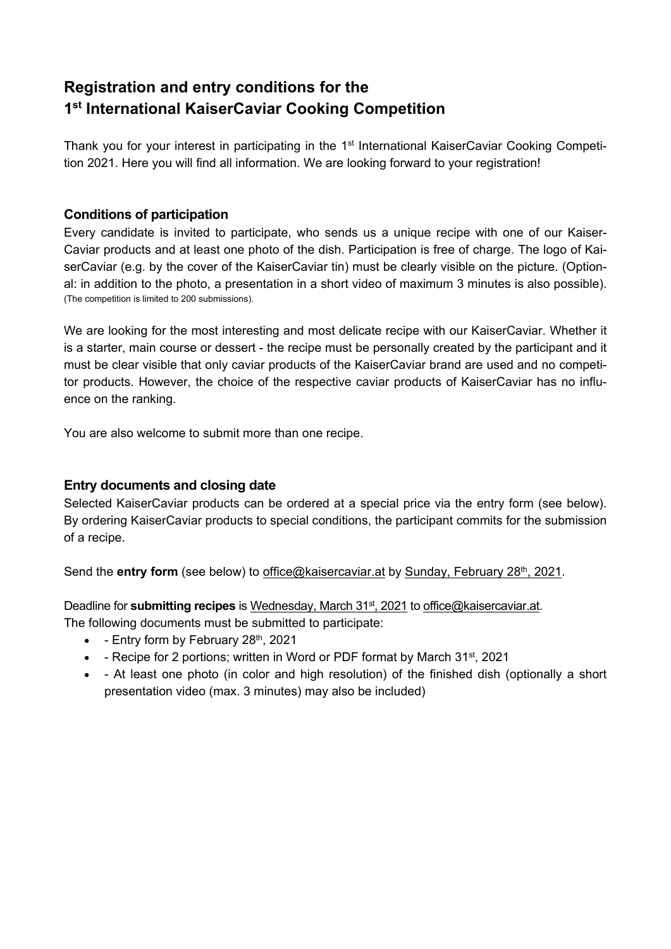# **Registration and entry conditions for the 1st International KaiserCaviar Cooking Competition**

Thank you for your interest in participating in the 1<sup>st</sup> International KaiserCaviar Cooking Competition 2021. Here you will find all information. We are looking forward to your registration!

# **Conditions of participation**

Every candidate is invited to participate, who sends us a unique recipe with one of our Kaiser-Caviar products and at least one photo of the dish. Participation is free of charge. The logo of KaiserCaviar (e.g. by the cover of the KaiserCaviar tin) must be clearly visible on the picture. (Optional: in addition to the photo, a presentation in a short video of maximum 3 minutes is also possible). (The competition is limited to 200 submissions).

We are looking for the most interesting and most delicate recipe with our KaiserCaviar. Whether it is a starter, main course or dessert - the recipe must be personally created by the participant and it must be clear visible that only caviar products of the KaiserCaviar brand are used and no competitor products. However, the choice of the respective caviar products of KaiserCaviar has no influence on the ranking.

You are also welcome to submit more than one recipe.

# **Entry documents and closing date**

Selected KaiserCaviar products can be ordered at a special price via the entry form (see below). By ordering KaiserCaviar products to special conditions, the participant commits for the submission of a recipe.

Send the **entry form** (see below) to office@kaisercaviar.at by Sunday, February 28<sup>th</sup>, 2021.

Deadline for **submitting recipes** is Wednesday, March 31<sup>st</sup>, 2021 to office@kaisercaviar.at.

The following documents must be submitted to participate:

- $\bullet$  Entry form by February 28<sup>th</sup>, 2021
- - Recipe for 2 portions; written in Word or PDF format by March 31<sup>st</sup>, 2021
- At least one photo (in color and high resolution) of the finished dish (optionally a short presentation video (max. 3 minutes) may also be included)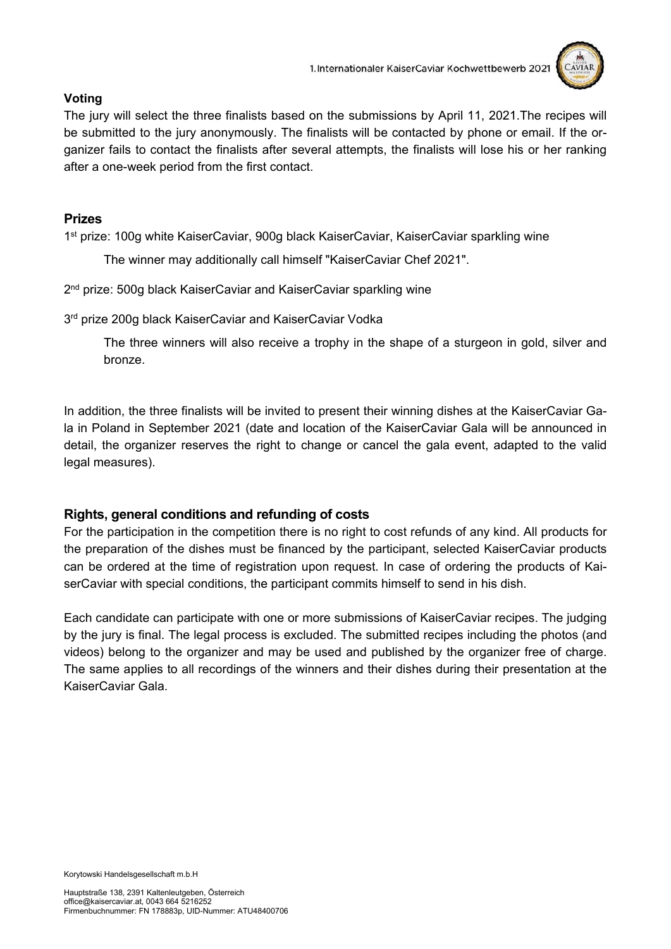

#### **Voting**

The jury will select the three finalists based on the submissions by April 11, 2021.The recipes will be submitted to the jury anonymously. The finalists will be contacted by phone or email. If the organizer fails to contact the finalists after several attempts, the finalists will lose his or her ranking after a one-week period from the first contact.

#### **Prizes**

1st prize: 100g white KaiserCaviar, 900g black KaiserCaviar, KaiserCaviar sparkling wine

The winner may additionally call himself "KaiserCaviar Chef 2021".

2<sup>nd</sup> prize: 500g black KaiserCaviar and KaiserCaviar sparkling wine

3<sup>rd</sup> prize 200g black KaiserCaviar and KaiserCaviar Vodka

The three winners will also receive a trophy in the shape of a sturgeon in gold, silver and bronze.

In addition, the three finalists will be invited to present their winning dishes at the KaiserCaviar Gala in Poland in September 2021 (date and location of the KaiserCaviar Gala will be announced in detail, the organizer reserves the right to change or cancel the gala event, adapted to the valid legal measures).

# **Rights, general conditions and refunding of costs**

For the participation in the competition there is no right to cost refunds of any kind. All products for the preparation of the dishes must be financed by the participant, selected KaiserCaviar products can be ordered at the time of registration upon request. In case of ordering the products of KaiserCaviar with special conditions, the participant commits himself to send in his dish.

Each candidate can participate with one or more submissions of KaiserCaviar recipes. The judging by the jury is final. The legal process is excluded. The submitted recipes including the photos (and videos) belong to the organizer and may be used and published by the organizer free of charge. The same applies to all recordings of the winners and their dishes during their presentation at the KaiserCaviar Gala.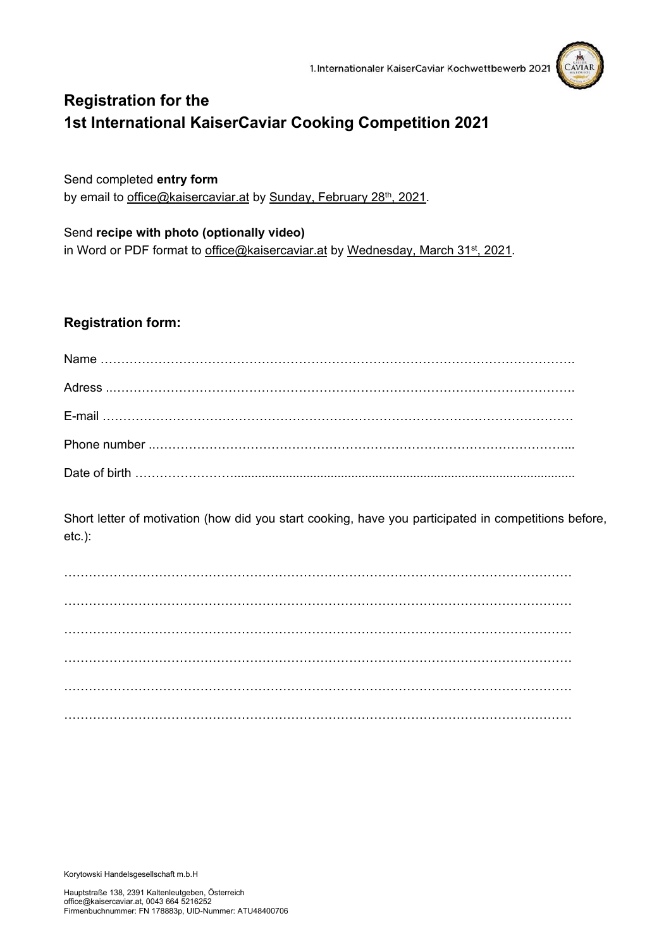

# **Registration for the 1st International KaiserCaviar Cooking Competition 2021**

Send completed **entry form** by email to office@kaisercaviar.at by Sunday, February 28<sup>th</sup>, 2021.

Send **recipe with photo (optionally video)** in Word or PDF format to office@kaisercaviar.at by Wednesday, March 31<sup>st</sup>, 2021.

# **Registration form:**

Short letter of motivation (how did you start cooking, have you participated in competitions before, etc.):

Korytowski Handelsgesellschaft m.b.H